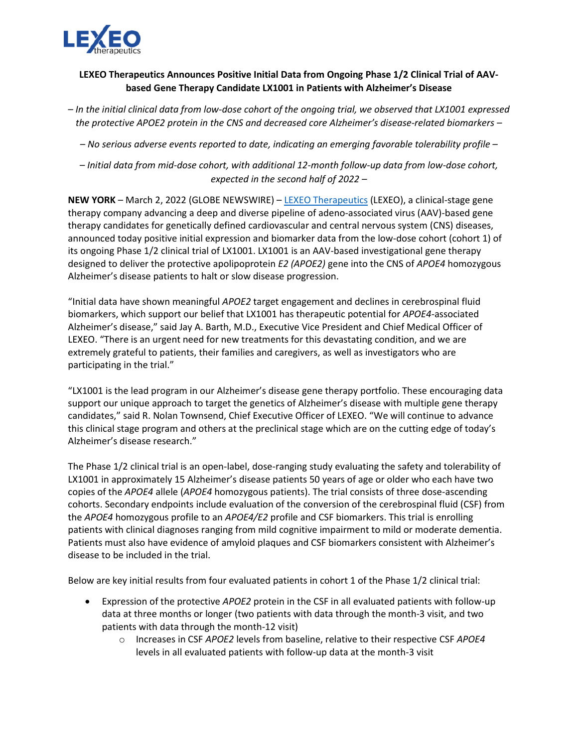

## **LEXEO Therapeutics Announces Positive Initial Data from Ongoing Phase 1/2 Clinical Trial of AAVbased Gene Therapy Candidate LX1001 in Patients with Alzheimer's Disease**

*– In the initial clinical data from low-dose cohort of the ongoing trial, we observed that LX1001 expressed the protective APOE2 protein in the CNS and decreased core Alzheimer's disease-related biomarkers –*

*– No serious adverse events reported to date, indicating an emerging favorable tolerability profile –*

*– Initial data from mid-dose cohort, with additional 12-month follow-up data from low-dose cohort, expected in the second half of 2022 –*

**NEW YORK** – March 2, 2022 (GLOBE NEWSWIRE) – [LEXEO Therapeutics](https://www.lexeotx.com/) (LEXEO), a clinical-stage gene therapy company advancing a deep and diverse pipeline of adeno-associated virus (AAV)-based gene therapy candidates for genetically defined cardiovascular and central nervous system (CNS) diseases, announced today positive initial expression and biomarker data from the low-dose cohort (cohort 1) of its ongoing Phase 1/2 clinical trial of LX1001. LX1001 is an AAV-based investigational gene therapy designed to deliver the protective apolipoprotein *E2 (APOE2)* gene into the CNS of *APOE4* homozygous Alzheimer's disease patients to halt or slow disease progression.

"Initial data have shown meaningful *APOE2* target engagement and declines in cerebrospinal fluid biomarkers, which support our belief that LX1001 has therapeutic potential for *APOE4*-associated Alzheimer's disease," said Jay A. Barth, M.D., Executive Vice President and Chief Medical Officer of LEXEO. "There is an urgent need for new treatments for this devastating condition, and we are extremely grateful to patients, their families and caregivers, as well as investigators who are participating in the trial."

"LX1001 is the lead program in our Alzheimer's disease gene therapy portfolio. These encouraging data support our unique approach to target the genetics of Alzheimer's disease with multiple gene therapy candidates," said R. Nolan Townsend, Chief Executive Officer of LEXEO. "We will continue to advance this clinical stage program and others at the preclinical stage which are on the cutting edge of today's Alzheimer's disease research."

The Phase 1/2 clinical trial is an open-label, dose-ranging study evaluating the safety and tolerability of LX1001 in approximately 15 Alzheimer's disease patients 50 years of age or older who each have two copies of the *APOE4* allele (*APOE4* homozygous patients). The trial consists of three dose-ascending cohorts. Secondary endpoints include evaluation of the conversion of the cerebrospinal fluid (CSF) from the *APOE4* homozygous profile to an *APOE4/E2* profile and CSF biomarkers. This trial is enrolling patients with clinical diagnoses ranging from mild cognitive impairment to mild or moderate dementia. Patients must also have evidence of amyloid plaques and CSF biomarkers consistent with Alzheimer's disease to be included in the trial.

Below are key initial results from four evaluated patients in cohort 1 of the Phase 1/2 clinical trial:

- Expression of the protective *APOE2* protein in the CSF in all evaluated patients with follow-up data at three months or longer (two patients with data through the month-3 visit, and two patients with data through the month-12 visit)
	- o Increases in CSF *APOE2* levels from baseline, relative to their respective CSF *APOE4* levels in all evaluated patients with follow-up data at the month-3 visit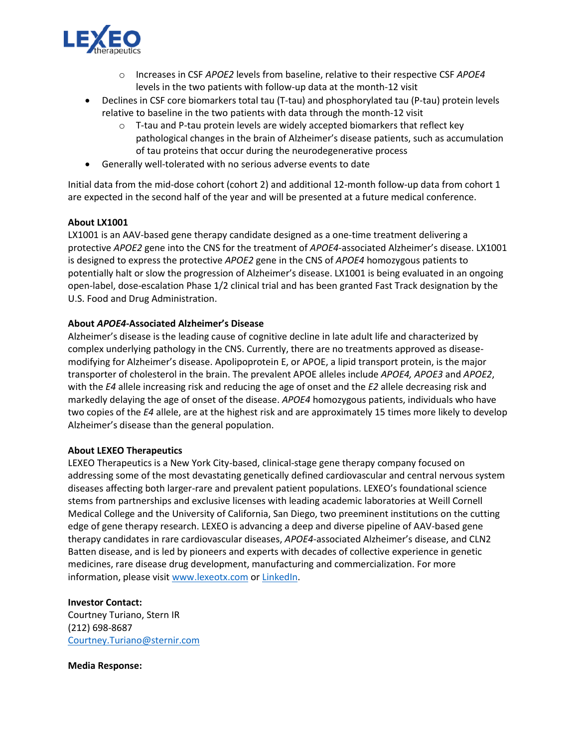

- o Increases in CSF *APOE2* levels from baseline, relative to their respective CSF *APOE4* levels in the two patients with follow-up data at the month-12 visit
- Declines in CSF core biomarkers total tau (T-tau) and phosphorylated tau (P-tau) protein levels relative to baseline in the two patients with data through the month-12 visit
	- $\circ$  T-tau and P-tau protein levels are widely accepted biomarkers that reflect key pathological changes in the brain of Alzheimer's disease patients, such as accumulation of tau proteins that occur during the neurodegenerative process
- Generally well-tolerated with no serious adverse events to date

Initial data from the mid-dose cohort (cohort 2) and additional 12-month follow-up data from cohort 1 are expected in the second half of the year and will be presented at a future medical conference.

## **About LX1001**

LX1001 is an AAV-based gene therapy candidate designed as a one-time treatment delivering a protective *APOE2* gene into the CNS for the treatment of *APOE4*-associated Alzheimer's disease. LX1001 is designed to express the protective *APOE2* gene in the CNS of *APOE4* homozygous patients to potentially halt or slow the progression of Alzheimer's disease. LX1001 is being evaluated in an ongoing open-label, dose-escalation Phase 1/2 clinical trial and has been granted Fast Track designation by the U.S. Food and Drug Administration.

## **About** *APOE4***-Associated Alzheimer's Disease**

Alzheimer's disease is the leading cause of cognitive decline in late adult life and characterized by complex underlying pathology in the CNS. Currently, there are no treatments approved as diseasemodifying for Alzheimer's disease. Apolipoprotein E, or APOE, a lipid transport protein, is the major transporter of cholesterol in the brain. The prevalent APOE alleles include *APOE4, APOE3* and *APOE2*, with the *E4* allele increasing risk and reducing the age of onset and the *E2* allele decreasing risk and markedly delaying the age of onset of the disease. *APOE4* homozygous patients, individuals who have two copies of the *E4* allele, are at the highest risk and are approximately 15 times more likely to develop Alzheimer's disease than the general population.

## **About LEXEO Therapeutics**

LEXEO Therapeutics is a New York City-based, clinical-stage gene therapy company focused on addressing some of the most devastating genetically defined cardiovascular and central nervous system diseases affecting both larger-rare and prevalent patient populations. LEXEO's foundational science stems from partnerships and exclusive licenses with leading academic laboratories at Weill Cornell Medical College and the University of California, San Diego, two preeminent institutions on the cutting edge of gene therapy research. LEXEO is advancing a deep and diverse pipeline of AAV-based gene therapy candidates in rare cardiovascular diseases, *APOE4*-associated Alzheimer's disease, and CLN2 Batten disease, and is led by pioneers and experts with decades of collective experience in genetic medicines, rare disease drug development, manufacturing and commercialization. For more information, please visit [www.lexeotx.com](https://www.lexeotx.com/) o[r LinkedIn.](https://www.linkedin.com/company/lexeo-therapeutics/?viewAsMember=true)

**Investor Contact:** Courtney Turiano, Stern IR (212) 698-8687 [Courtney.Turiano@sternir.com](mailto:Courtney.Turiano@sternir.com)

**Media Response:**